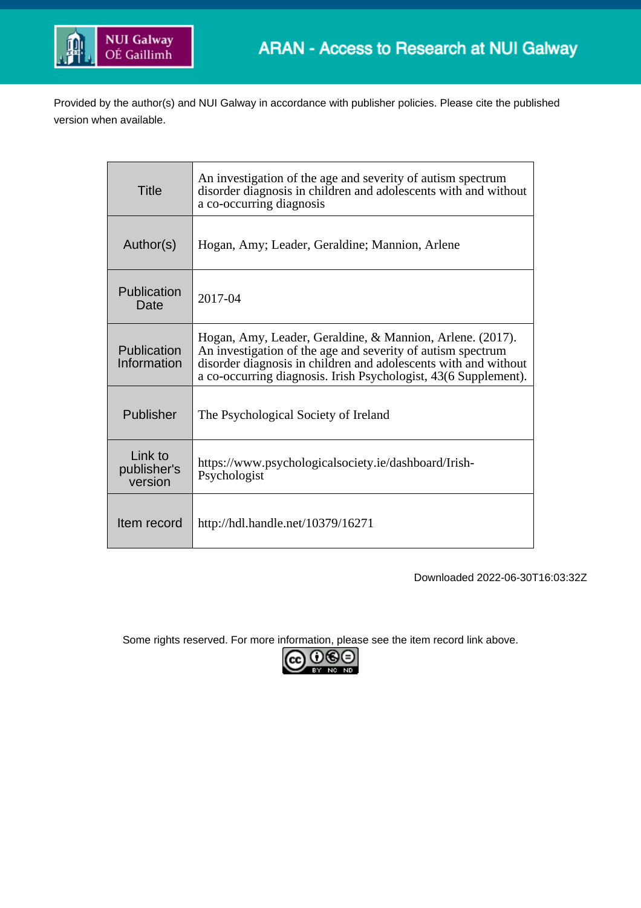

Provided by the author(s) and NUI Galway in accordance with publisher policies. Please cite the published version when available.

| Title                             | An investigation of the age and severity of autism spectrum<br>disorder diagnosis in children and adolescents with and without<br>a co-occurring diagnosis                                                                                                     |
|-----------------------------------|----------------------------------------------------------------------------------------------------------------------------------------------------------------------------------------------------------------------------------------------------------------|
| Author(s)                         | Hogan, Amy; Leader, Geraldine; Mannion, Arlene                                                                                                                                                                                                                 |
| Publication<br>Date               | 2017-04                                                                                                                                                                                                                                                        |
| Publication<br>Information        | Hogan, Amy, Leader, Geraldine, & Mannion, Arlene. (2017).<br>An investigation of the age and severity of autism spectrum<br>disorder diagnosis in children and adolescents with and without<br>a co-occurring diagnosis. Irish Psychologist, 43(6 Supplement). |
| Publisher                         | The Psychological Society of Ireland                                                                                                                                                                                                                           |
| Link to<br>publisher's<br>version | https://www.psychologicalsociety.ie/dashboard/Irish-<br>Psychologist                                                                                                                                                                                           |
| Item record                       | http://hdl.handle.net/10379/16271                                                                                                                                                                                                                              |

Downloaded 2022-06-30T16:03:32Z

Some rights reserved. For more information, please see the item record link above.